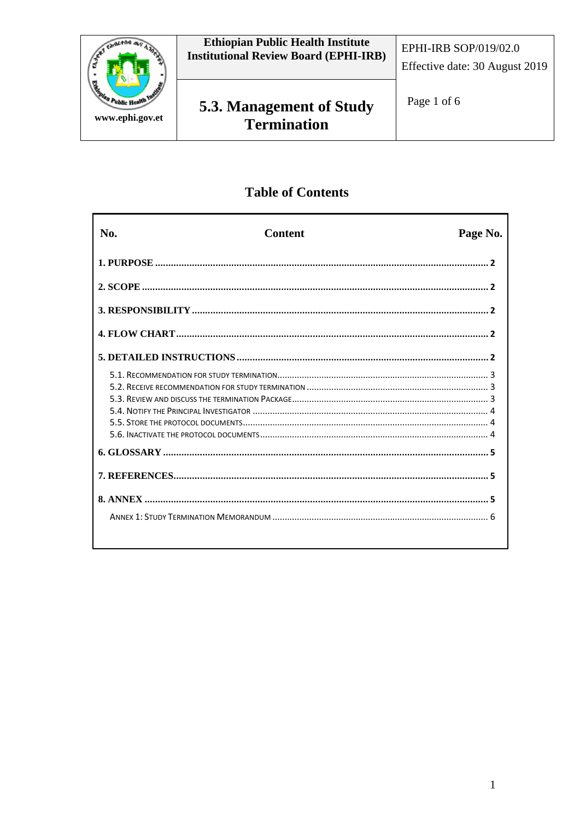

# **Table of Contents**

| No. | <b>Content</b> | Page No. |
|-----|----------------|----------|
|     |                |          |
|     |                |          |
|     |                |          |
|     |                |          |
|     |                |          |
|     |                |          |
|     |                |          |
|     |                |          |
|     |                |          |
|     |                |          |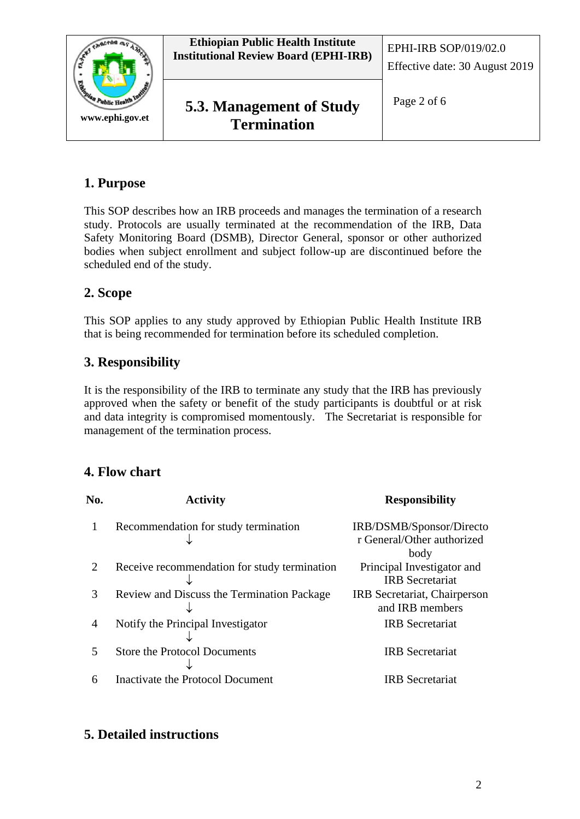

# <span id="page-1-0"></span>**1. Purpose**

This SOP describes how an IRB proceeds and manages the termination of a research study. Protocols are usually terminated at the recommendation of the IRB, Data Safety Monitoring Board (DSMB), Director General, sponsor or other authorized bodies when subject enrollment and subject follow-up are discontinued before the scheduled end of the study.

# <span id="page-1-1"></span>**2. Scope**

This SOP applies to any study approved by Ethiopian Public Health Institute IRB that is being recommended for termination before its scheduled completion.

# <span id="page-1-2"></span>**3. Responsibility**

It is the responsibility of the IRB to terminate any study that the IRB has previously approved when the safety or benefit of the study participants is doubtful or at risk and data integrity is compromised momentously. The Secretariat is responsible for management of the termination process.

# <span id="page-1-3"></span>**4. Flow chart**

| No.           | <b>Activity</b>                              | <b>Responsibility</b>        |
|---------------|----------------------------------------------|------------------------------|
|               | Recommendation for study termination         | IRB/DSMB/Sponsor/Directo     |
|               |                                              | r General/Other authorized   |
|               |                                              | body                         |
|               | Receive recommendation for study termination | Principal Investigator and   |
|               |                                              | <b>IRB</b> Secretariat       |
| $\mathcal{R}$ | Review and Discuss the Termination Package   | IRB Secretariat, Chairperson |
|               |                                              | and IRB members              |
| 4             | Notify the Principal Investigator            | <b>IRB</b> Secretariat       |
|               |                                              |                              |
| 5             | <b>Store the Protocol Documents</b>          | <b>IRB</b> Secretariat       |
|               |                                              |                              |
| 6             | Inactivate the Protocol Document             | <b>IRB</b> Secretariat       |
|               |                                              |                              |

# <span id="page-1-4"></span>**5. Detailed instructions**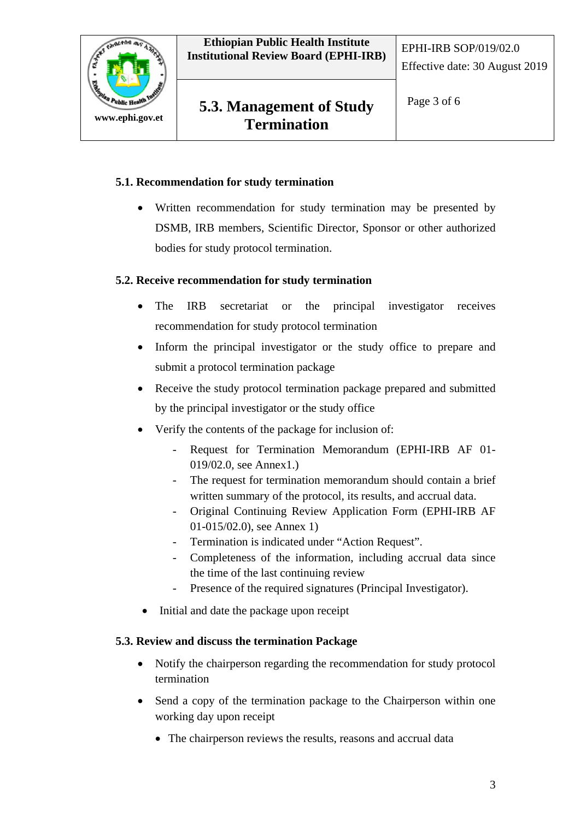

# **5.3. Management of Study**  $\left| \begin{array}{c} \text{Page 3 of 6} \\ \end{array} \right|$ **Termination**

#### <span id="page-2-0"></span>**5.1. Recommendation for study termination**

• Written recommendation for study termination may be presented by DSMB, IRB members, Scientific Director, Sponsor or other authorized bodies for study protocol termination.

#### <span id="page-2-1"></span>**5.2. Receive recommendation for study termination**

- The IRB secretariat or the principal investigator receives recommendation for study protocol termination
- Inform the principal investigator or the study office to prepare and submit a protocol termination package
- Receive the study protocol termination package prepared and submitted by the principal investigator or the study office
- Verify the contents of the package for inclusion of:
	- Request for Termination Memorandum (EPHI-IRB AF 01- 019/02.0, see Annex1.)
	- The request for termination memorandum should contain a brief written summary of the protocol, its results, and accrual data.
	- Original Continuing Review Application Form (EPHI-IRB AF 01-015/02.0), see Annex 1)
	- Termination is indicated under "Action Request".
	- Completeness of the information, including accrual data since the time of the last continuing review
	- Presence of the required signatures (Principal Investigator).
- Initial and date the package upon receipt

### <span id="page-2-2"></span>**5.3. Review and discuss the termination Package**

- Notify the chairperson regarding the recommendation for study protocol termination
- Send a copy of the termination package to the Chairperson within one working day upon receipt
	- The chairperson reviews the results, reasons and accrual data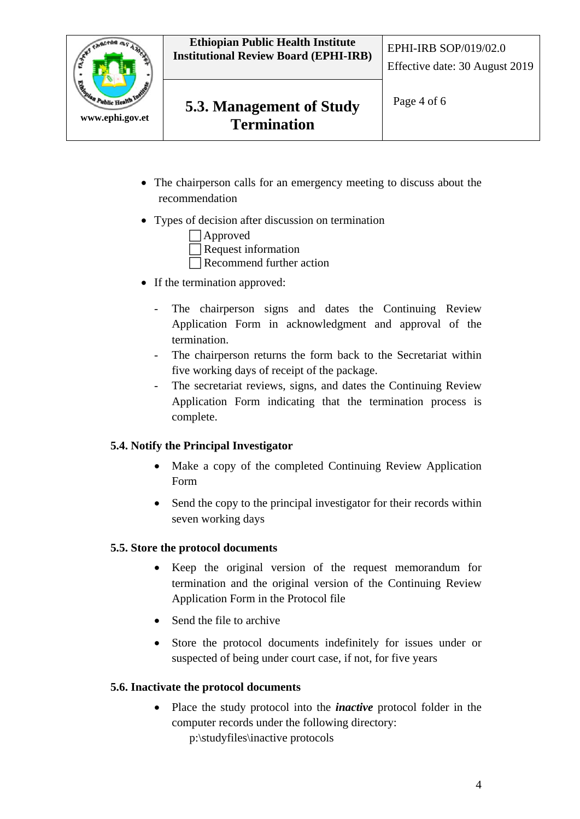

- The chairperson calls for an emergency meeting to discuss about the recommendation
- Types of decision after discussion on termination

 Approved Request information Recommend further action

- If the termination approved:
	- The chairperson signs and dates the Continuing Review Application Form in acknowledgment and approval of the termination.
	- The chairperson returns the form back to the Secretariat within five working days of receipt of the package.
	- The secretariat reviews, signs, and dates the Continuing Review Application Form indicating that the termination process is complete.

#### <span id="page-3-0"></span>**5.4. Notify the Principal Investigator**

- Make a copy of the completed Continuing Review Application Form
- Send the copy to the principal investigator for their records within seven working days

#### <span id="page-3-1"></span>**5.5. Store the protocol documents**

- Keep the original version of the request memorandum for termination and the original version of the Continuing Review Application Form in the Protocol file
- Send the file to archive
- Store the protocol documents indefinitely for issues under or suspected of being under court case, if not, for five years

#### <span id="page-3-2"></span>**5.6. Inactivate the protocol documents**

• Place the study protocol into the *inactive* protocol folder in the computer records under the following directory:

p:\studyfiles\inactive protocols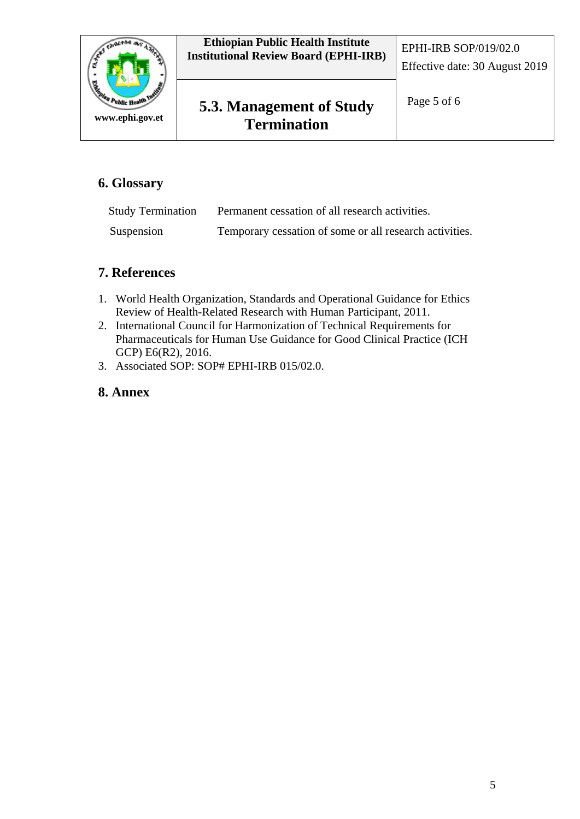

# <span id="page-4-0"></span>**6. Glossary**

| <b>Study Termination</b> | Permanent cessation of all research activities.         |
|--------------------------|---------------------------------------------------------|
| Suspension               | Temporary cessation of some or all research activities. |

## <span id="page-4-1"></span>**7. References**

- 1. World Health Organization, Standards and Operational Guidance for Ethics Review of Health-Related Research with Human Participant, 2011.
- 2. International Council for Harmonization of Technical Requirements for Pharmaceuticals for Human Use Guidance for Good Clinical Practice (ICH GCP) E6(R2), 2016.
- 3. Associated SOP: SOP# EPHI-IRB 015/02.0.

## <span id="page-4-2"></span>**8. Annex**